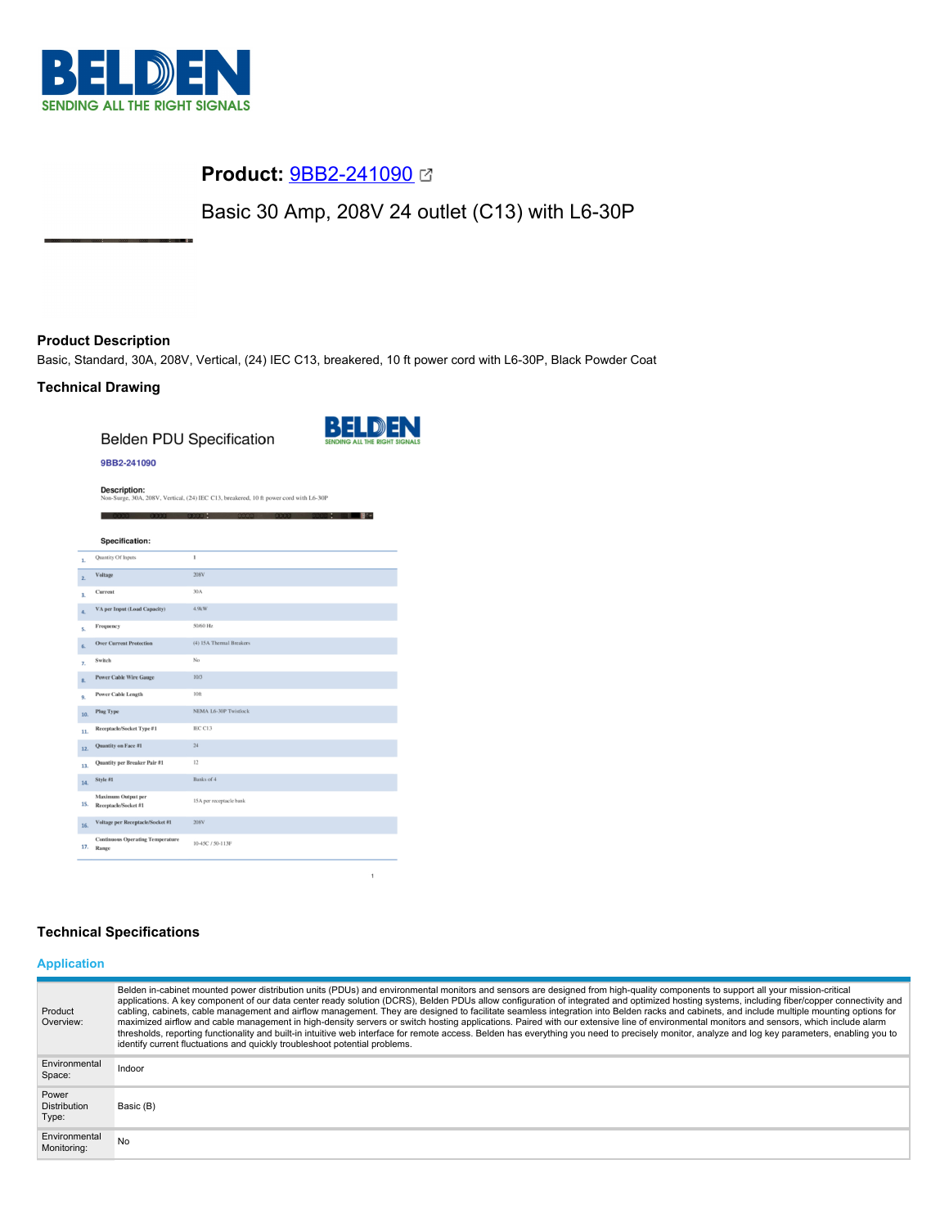

# **Product:** [9BB2-241090](https://catalog.belden.com/index.cfm?event=pd&p=PF_9BB2241090&tab=downloads)

Basic 30 Amp, 208V 24 outlet (C13) with L6-30P

# **Product Description**

Basic, Standard, 30A, 208V, Vertical, (24) IEC C13, breakered, 10 ft power cord with L6-30P, Black Powder Coat

# **Technical Drawing**

**Belden PDU Specification** 



 $\mathbf{B}$  of

## 9BB2-241090

**Description:**<br>Non-Surge, 30A, 208V, Vertical, (24) IEC C13, breakered, 10 ft power cord with L6-30P

|     | Specification:                                   |                              |
|-----|--------------------------------------------------|------------------------------|
| 1.  | Quantity Of Inputs                               | $\mathbf{1}$                 |
| 2.  | Voltage                                          | 208V                         |
| 3.  | Current                                          | 30A                          |
| 4.  | VA per Input (Load Capacity)                     | 4.9kW                        |
| 5.  | Frequency                                        | 50/60 Hz                     |
| 6.  | <b>Over Current Protection</b>                   | (4) 15A Thermal Breakers     |
| 7.  | Switch                                           | No                           |
| 8.  | <b>Power Cable Wire Gauge</b>                    | 10/3                         |
| 9.  | <b>Power Cable Length</b>                        | 10 <sub>ft</sub>             |
| 10. | <b>Plug Type</b>                                 | <b>NEMA L6-30P Twistlock</b> |
| 11. | Receptacle/Socket Type #1                        | IEC C13                      |
| 12. | Quantity on Face #1                              | 24                           |
| 13. | Quantity per Breaker Pair #1                     | 12                           |
| 14. | Style #1                                         | Banks of 4                   |
| 15. | Maximum Output per<br>Receptacle/Socket #1       | 15A per receptacle bank      |
| 16. | Voltage per Receptacle/Socket #1                 | 208V                         |
| 17. | <b>Continuous Operating Temperature</b><br>Range | 10-45C / 50-113F             |

# **Technical Specifications**

# **Application**

| Product<br>Overview:                  | Belden in-cabinet mounted power distribution units (PDUs) and environmental monitors and sensors are designed from high-quality components to support all your mission-critical<br>applications. A key component of our data center ready solution (DCRS), Belden PDUs allow configuration of integrated and optimized hosting systems, including fiber/copper connectivity and<br>cabling, cabinets, cable management and airflow management. They are designed to facilitate seamless integration into Belden racks and cabinets, and include multiple mounting options for<br>maximized airflow and cable management in high-density servers or switch hosting applications. Paired with our extensive line of environmental monitors and sensors, which include alarm<br>thresholds, reporting functionality and built-in intuitive web interface for remote access. Belden has everything you need to precisely monitor, analyze and log key parameters, enabling you to<br>identify current fluctuations and quickly troubleshoot potential problems. |
|---------------------------------------|-------------------------------------------------------------------------------------------------------------------------------------------------------------------------------------------------------------------------------------------------------------------------------------------------------------------------------------------------------------------------------------------------------------------------------------------------------------------------------------------------------------------------------------------------------------------------------------------------------------------------------------------------------------------------------------------------------------------------------------------------------------------------------------------------------------------------------------------------------------------------------------------------------------------------------------------------------------------------------------------------------------------------------------------------------------|
| Environmental<br>Space:               | Indoor                                                                                                                                                                                                                                                                                                                                                                                                                                                                                                                                                                                                                                                                                                                                                                                                                                                                                                                                                                                                                                                      |
| Power<br><b>Distribution</b><br>Type: | Basic (B)                                                                                                                                                                                                                                                                                                                                                                                                                                                                                                                                                                                                                                                                                                                                                                                                                                                                                                                                                                                                                                                   |
| Environmental<br>Monitoring:          | No                                                                                                                                                                                                                                                                                                                                                                                                                                                                                                                                                                                                                                                                                                                                                                                                                                                                                                                                                                                                                                                          |